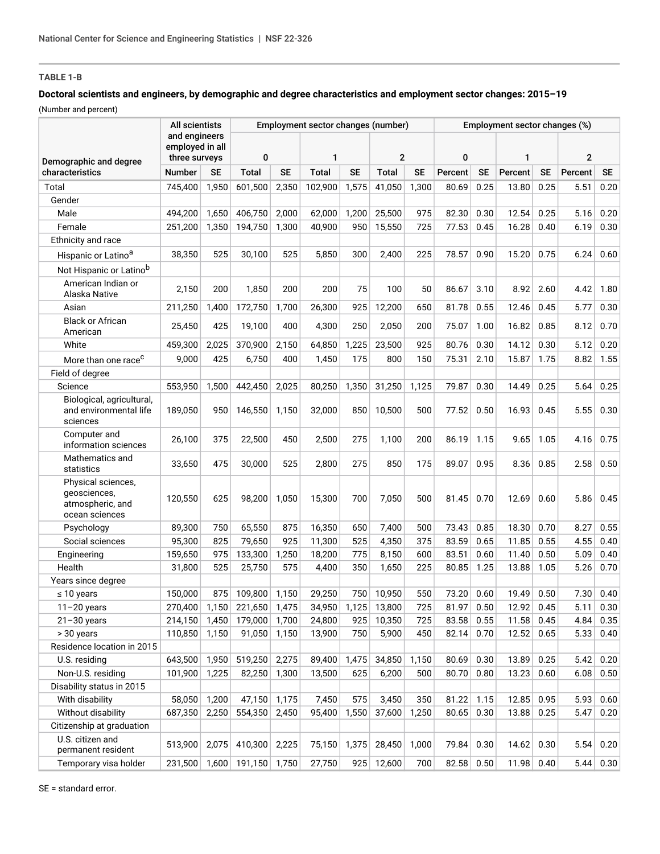## **TABLE 1-B**

## **Doctoral scientists and engineers, by demographic and degree characteristics and employment sector changes: 2015–19**

(Number and percent)

|                                                                          | All scientists<br>and engineers<br>employed in all<br>three surveys |           | Employment sector changes (number) |           |              |           |              |           | Employment sector changes (%) |           |         |           |                |           |
|--------------------------------------------------------------------------|---------------------------------------------------------------------|-----------|------------------------------------|-----------|--------------|-----------|--------------|-----------|-------------------------------|-----------|---------|-----------|----------------|-----------|
| Demographic and degree                                                   |                                                                     |           | 0                                  |           | 1            |           | $\mathbf{2}$ |           | $\mathbf{0}$                  |           | 1       |           | $\overline{2}$ |           |
| characteristics                                                          | <b>Number</b>                                                       | <b>SE</b> | <b>Total</b>                       | <b>SE</b> | <b>Total</b> | <b>SE</b> | Total        | <b>SE</b> | Percent                       | <b>SE</b> | Percent | <b>SE</b> | Percent        | <b>SE</b> |
| Total                                                                    | 745,400                                                             | 1,950     | 601,500                            | 2,350     | 102.900      | 1,575     | 41,050       | 1,300     | 80.69                         | 0.25      | 13.80   | 0.25      | 5.51           | 0.20      |
| Gender                                                                   |                                                                     |           |                                    |           |              |           |              |           |                               |           |         |           |                |           |
| Male                                                                     | 494,200                                                             | 1,650     | 406,750                            | 2,000     | 62,000       | 1,200     | 25,500       | 975       | 82.30                         | 0.30      | 12.54   | 0.25      | 5.16           | 0.20      |
| Female                                                                   | 251,200                                                             | 1,350     | 194,750                            | 1,300     | 40,900       | 950       | 15,550       | 725       | 77.53                         | 0.45      | 16.28   | 0.40      | 6.19           | 0.30      |
| Ethnicity and race                                                       |                                                                     |           |                                    |           |              |           |              |           |                               |           |         |           |                |           |
| Hispanic or Latino <sup>a</sup>                                          | 38,350                                                              | 525       | 30,100                             | 525       | 5,850        | 300       | 2,400        | 225       | 78.57                         | 0.90      | 15.20   | 0.75      | 6.24           | 0.60      |
| Not Hispanic or Latino <sup>b</sup>                                      |                                                                     |           |                                    |           |              |           |              |           |                               |           |         |           |                |           |
| American Indian or<br>Alaska Native                                      | 2,150                                                               | 200       | 1,850                              | 200       | 200          | 75        | 100          | 50        | 86.67                         | 3.10      | 8.92    | 2.60      | 4.42           | 1.80      |
| Asian                                                                    | 211,250                                                             | 1,400     | 172,750                            | 1,700     | 26,300       | 925       | 12,200       | 650       | 81.78                         | 0.55      | 12.46   | 0.45      | 5.77           | 0.30      |
| <b>Black or African</b><br>American                                      | 25,450                                                              | 425       | 19,100                             | 400       | 4,300        | 250       | 2,050        | 200       | 75.07                         | 1.00      | 16.82   | 0.85      | 8.12           | 0.70      |
| White                                                                    | 459,300                                                             | 2,025     | 370,900                            | 2,150     | 64,850       | 1,225     | 23,500       | 925       | 80.76                         | 0.30      | 14.12   | 0.30      | 5.12           | 0.20      |
| More than one race <sup>c</sup>                                          | 9,000                                                               | 425       | 6,750                              | 400       | 1,450        | 175       | 800          | 150       | 75.31                         | 2.10      | 15.87   | 1.75      | 8.82           | 1.55      |
| Field of degree                                                          |                                                                     |           |                                    |           |              |           |              |           |                               |           |         |           |                |           |
| Science                                                                  | 553,950                                                             | 1,500     | 442,450                            | 2,025     | 80,250       | 1,350     | 31,250       | 1,125     | 79.87                         | 0.30      | 14.49   | 0.25      | 5.64           | 0.25      |
| Biological, agricultural,<br>and environmental life<br>sciences          | 189,050                                                             | 950       | 146,550                            | 1,150     | 32,000       | 850       | 10,500       | 500       | 77.52                         | 0.50      | 16.93   | 0.45      | 5.55           | 0.30      |
| Computer and<br>information sciences                                     | 26,100                                                              | 375       | 22,500                             | 450       | 2,500        | 275       | 1,100        | 200       | 86.19                         | 1.15      | 9.65    | 1.05      | 4.16           | 0.75      |
| Mathematics and<br>statistics                                            | 33,650                                                              | 475       | 30,000                             | 525       | 2,800        | 275       | 850          | 175       | 89.07                         | 0.95      | 8.36    | 0.85      | 2.58           | 0.50      |
| Physical sciences,<br>geosciences,<br>atmospheric, and<br>ocean sciences | 120,550                                                             | 625       | 98,200                             | 1,050     | 15,300       | 700       | 7,050        | 500       | 81.45                         | 0.70      | 12.69   | 0.60      | 5.86           | 0.45      |
| Psychology                                                               | 89,300                                                              | 750       | 65,550                             | 875       | 16,350       | 650       | 7,400        | 500       | 73.43                         | 0.85      | 18.30   | 0.70      | 8.27           | 0.55      |
| Social sciences                                                          | 95,300                                                              | 825       | 79,650                             | 925       | 11,300       | 525       | 4,350        | 375       | 83.59                         | 0.65      | 11.85   | 0.55      | 4.55           | 0.40      |
| Engineering                                                              | 159,650                                                             | 975       | 133,300                            | 1,250     | 18,200       | 775       | 8,150        | 600       | 83.51                         | 0.60      | 11.40   | 0.50      | 5.09           | 0.40      |
| Health                                                                   | 31,800                                                              | 525       | 25,750                             | 575       | 4,400        | 350       | 1,650        | 225       | 80.85                         | 1.25      | 13.88   | 1.05      | 5.26           | 0.70      |
| Years since degree                                                       |                                                                     |           |                                    |           |              |           |              |           |                               |           |         |           |                |           |
| $\leq 10$ years                                                          | 150,000                                                             | 875       | 109,800                            | 1,150     | 29,250       | 750       | 10.950       | 550       | 73.20                         | 0.60      | 19.49   | 0.50      | 7.30           | 0.40      |
| $11 - 20$ years                                                          | 270,400                                                             | 1,150     | 221,650                            | 1,475     | 34,950       | 1,125     | 13,800       | 725       | 81.97                         | 0.50      | 12.92   | 0.45      | 5.11           | 0.30      |
| $21 - 30$ years                                                          | 214,150                                                             | 1,450     | 179,000                            | 1,700     | 24,800       | 925       | 10,350       | 725       | 83.58                         | 0.55      | 11.58   | 0.45      | 4.84           | 0.35      |
| > 30 years                                                               | 110,850                                                             | 1,150     | 91,050                             | 1,150     | 13,900       | 750       | 5,900        | 450       | 82.14                         | 0.70      | 12.52   | 0.65      | 5.33           | 0.40      |
| Residence location in 2015                                               |                                                                     |           |                                    |           |              |           |              |           |                               |           |         |           |                |           |
| U.S. residing                                                            | 643,500                                                             | 1,950     | 519,250                            | 2,275     | 89,400       | 1,475     | 34,850       | 1,150     | 80.69                         | 0.30      | 13.89   | 0.25      | 5.42           | 0.20      |
| Non-U.S. residing                                                        | 101,900                                                             | 1,225     | 82,250                             | 1,300     | 13,500       | 625       | 6,200        | 500       | 80.70                         | 0.80      | 13.23   | 0.60      | 6.08           | 0.50      |
| Disability status in 2015                                                |                                                                     |           |                                    |           |              |           |              |           |                               |           |         |           |                |           |
| With disability                                                          | 58,050                                                              | 1,200     | 47,150                             | 1,175     | 7,450        | 575       | 3,450        | 350       | 81.22                         | 1.15      | 12.85   | 0.95      | 5.93           | 0.60      |
| Without disability                                                       | 687,350                                                             | 2,250     | 554,350                            | 2,450     | 95,400       | 1,550     | 37,600       | 1,250     | 80.65                         | 0.30      | 13.88   | 0.25      | 5.47           | 0.20      |
| Citizenship at graduation                                                |                                                                     |           |                                    |           |              |           |              |           |                               |           |         |           |                |           |
| U.S. citizen and<br>permanent resident                                   | 513,900                                                             | 2,075     | 410,300                            | 2,225     | 75,150       | 1,375     | 28,450       | 1,000     | 79.84                         | 0.30      | 14.62   | 0.30      | 5.54           | 0.20      |
| Temporary visa holder                                                    | 231,500                                                             | 1,600     | 191,150                            | 1,750     | 27,750       | 925       | 12,600       | 700       | 82.58                         | 0.50      | 11.98   | 0.40      | 5.44           | 0.30      |

SE = standard error.